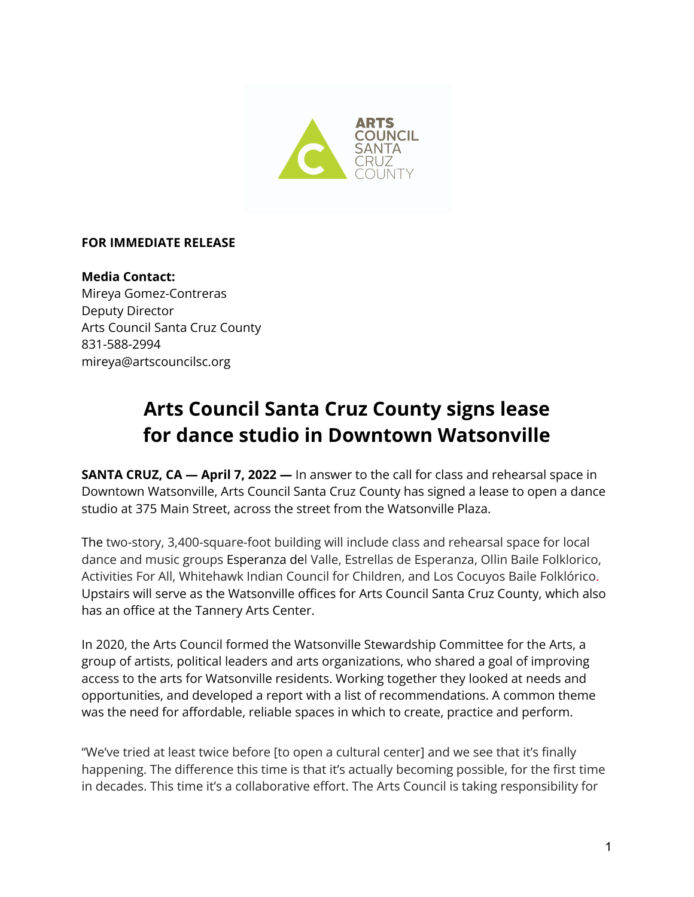

## **FOR IMMEDIATE RELEASE**

**Media Contact:** Mireya Gomez-Contreras Deputy Director Arts Council Santa Cruz County 831-588-2994 mireya@artscouncilsc.org

## **Arts Council Santa Cruz County signs lease for dance studio in Downtown Watsonville**

**SANTA CRUZ, CA — April 7, 2022 —** In answer to the call for class and rehearsal space in Downtown Watsonville, Arts Council Santa Cruz County has signed a lease to open a dance studio at 375 Main Street, across the street from the Watsonville Plaza.

The two-story, 3,400-square-foot building will include class and rehearsal space for local dance and music groups Esperanza del Valle, Estrellas de Esperanza, Ollin Baile Folklorico, Activities For All, Whitehawk Indian Council for Children, and Los Cocuyos Baile Folklórico. Upstairs will serve as the Watsonville offices for Arts Council Santa Cruz County, which also has an office at the Tannery Arts Center.

In 2020, the Arts Council formed the Watsonville Stewardship Committee for the Arts, [a](https://www.artscouncilsc.org/watsonville-arts-culture-movement/) group of artists, political leaders and arts [organizations](https://www.artscouncilsc.org/watsonville-arts-culture-movement/), who shared a goal of [improving](https://www.artscouncilsc.org/watsonville-arts-culture-movement/) [access](https://www.artscouncilsc.org/watsonville-arts-culture-movement/) to the arts for Watsonville residents. Working together they looked at needs and opportunities, and developed a report with a list of recommendations. A common theme was the need for affordable, reliable spaces in which to create, practice and perform.

"We've tried at least twice before [to open a cultural center] and we see that it's finally happening. The difference this time is that it's actually becoming possible, for the first time in decades. This time it's a collaborative effort. The Arts Council is taking responsibility for